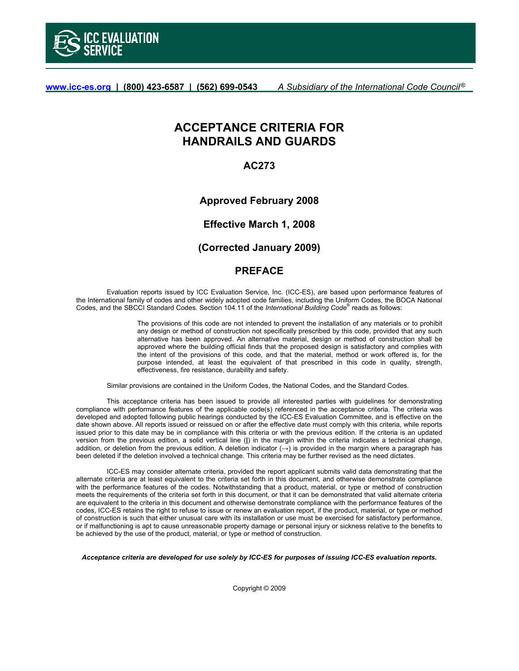

**www.icc-es.org | (800) 423-6587 | (562) 699-0543** *A Subsidiary of the International Code Council* ®

# **ACCEPTANCE CRITERIA FOR HANDRAILS AND GUARDS**

# **AC273**

**Approved February 2008** 

**Effective March 1, 2008** 

# **(Corrected January 2009)**

# **PREFACE**

 Evaluation reports issued by ICC Evaluation Service, Inc. (ICC-ES), are based upon performance features of the International family of codes and other widely adopted code families, including the Uniform Codes, the BOCA National Codes, and the SBCCI Standard Codes. Section 104.11 of the *International Building Code®* reads as follows:

> The provisions of this code are not intended to prevent the installation of any materials or to prohibit any design or method of construction not specifically prescribed by this code, provided that any such alternative has been approved. An alternative material, design or method of construction shall be approved where the building official finds that the proposed design is satisfactory and complies with the intent of the provisions of this code, and that the material, method or work offered is, for the purpose intended, at least the equivalent of that prescribed in this code in quality, strength, effectiveness, fire resistance, durability and safety.

Similar provisions are contained in the Uniform Codes, the National Codes, and the Standard Codes.

 This acceptance criteria has been issued to provide all interested parties with guidelines for demonstrating compliance with performance features of the applicable code(s) referenced in the acceptance criteria. The criteria was developed and adopted following public hearings conducted by the ICC-ES Evaluation Committee, and is effective on the date shown above. All reports issued or reissued on or after the effective date must comply with this criteria, while reports issued prior to this date may be in compliance with this criteria or with the previous edition. If the criteria is an updated version from the previous edition, a solid vertical line (**|**) in the margin within the criteria indicates a technical change, addition, or deletion from the previous edition. A deletion indicator (**→**) is provided in the margin where a paragraph has been deleted if the deletion involved a technical change. This criteria may be further revised as the need dictates.

 ICC-ES may consider alternate criteria, provided the report applicant submits valid data demonstrating that the alternate criteria are at least equivalent to the criteria set forth in this document, and otherwise demonstrate compliance with the performance features of the codes. Notwithstanding that a product, material, or type or method of construction meets the requirements of the criteria set forth in this document, or that it can be demonstrated that valid alternate criteria are equivalent to the criteria in this document and otherwise demonstrate compliance with the performance features of the codes, ICC-ES retains the right to refuse to issue or renew an evaluation report, if the product, material, or type or method of construction is such that either unusual care with its installation or use must be exercised for satisfactory performance, or if malfunctioning is apt to cause unreasonable property damage or personal injury or sickness relative to the benefits to be achieved by the use of the product, material, or type or method of construction.

*Acceptance criteria are developed for use solely by ICC-ES for purposes of issuing ICC-ES evaluation reports.* 

Copyright © 2009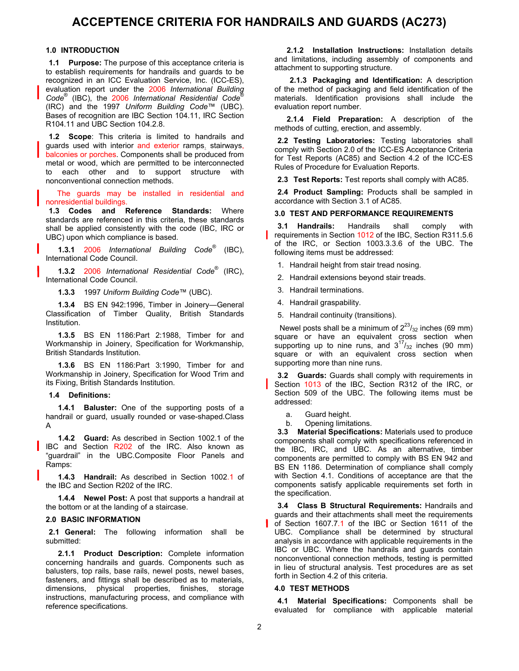# **ACCEPTENCE CRITERIA FOR HANDRAILS AND GUARDS (AC273)**

#### **1.0 INTRODUCTION**

**1.1 Purpose:** The purpose of this acceptance criteria is to establish requirements for handrails and guards to be recognized in an ICC Evaluation Service, Inc. (ICC-ES), evaluation report under the 2006 *International Building Code*® (IBC), the 2006 *International Residential Code*® (IRC) and the 1997 *Uniform Building Code*™ (UBC). Bases of recognition are IBC Section 104.11, IRC Section R104.11 and UBC Section 104.2.8.

**1.2 Scope**: This criteria is limited to handrails and guards used with interior and exterior ramps, stairways, balconies or porches. Components shall be produced from metal or wood, which are permitted to be interconnected to each other and to support structure with nonconventional connection methods.

The guards may be installed in residential and nonresidential buildings.

**1.3 Codes and Reference Standards:** Where standards are referenced in this criteria, these standards shall be applied consistently with the code (IBC, IRC or UBC) upon which compliance is based.

**1.3.1** 2006 *International Building Code*® (IBC), International Code Council.

**1.3.2** 2006 *International Residential Code*® (IRC), International Code Council.

**1.3.3** 1997 *Uniform Building Code*™ (UBC).

**1.3.4** BS EN 942:1996, Timber in Joinery—General Classification of Timber Quality, British Standards Institution.

**1.3.5** BS EN 1186:Part 2:1988, Timber for and Workmanship in Joinery, Specification for Workmanship, British Standards Institution.

**1.3.6** BS EN 1186:Part 3:1990, Timber for and Workmanship in Joinery, Specification for Wood Trim and its Fixing, British Standards Institution.

**1.4 Definitions:** 

**1.4.1 Baluster:** One of the supporting posts of a handrail or guard, usually rounded or vase-shaped.Class A

**1.4.2 Guard:** As described in Section 1002.1 of the IBC and Section R202 of the IRC. Also known as "guardrail" in the UBC.Composite Floor Panels and Ramps:

**1.4.3 Handrail:** As described in Section 1002.1 of the IBC and Section R202 of the IRC.

**1.4.4 Newel Post:** A post that supports a handrail at the bottom or at the landing of a staircase.

### **2.0 BASIC INFORMATION**

**2.1 General:** The following information shall be submitted:

**2.1.1 Product Description:** Complete information concerning handrails and guards. Components such as balusters, top rails, base rails, newel posts, newel bases, fasteners, and fittings shall be described as to materials, dimensions, physical properties, finishes, storage instructions, manufacturing process, and compliance with reference specifications.

**2.1.2 Installation Instructions:** Installation details and limitations, including assembly of components and attachment to supporting structure.

**2.1.3 Packaging and Identification:** A description of the method of packaging and field identification of the materials. Identification provisions shall include the evaluation report number.

**2.1.4 Field Preparation:** A description of the methods of cutting, erection, and assembly.

**2.2 Testing Laboratories:** Testing laboratories shall comply with Section 2.0 of the ICC-ES Acceptance Criteria for Test Reports (AC85) and Section 4.2 of the ICC-ES Rules of Procedure for Evaluation Reports.

**2.3 Test Reports:** Test reports shall comply with AC85.

**2.4 Product Sampling:** Products shall be sampled in accordance with Section 3.1 of AC85.

# **3.0 TEST AND PERFORMANCE REQUIREMENTS**

**3.1 Handrails:** Handrails shall comply with requirements in Section 1012 of the IBC, Section R311.5.6 of the IRC, or Section 1003.3.3.6 of the UBC. The following items must be addressed:

1. Handrail height from stair tread nosing.

2. Handrail extensions beyond stair treads.

- 3. Handrail terminations.
- 4. Handrail graspability.
- 5. Handrail continuity (transitions).

Newel posts shall be a minimum of  $2^{23}/_{32}$  inches (69 mm) square or have an equivalent cross section when supporting up to nine runs, and  $3^{17}/_{32}$  inches (90 mm) square or with an equivalent cross section when supporting more than nine runs.

**3.2 Guards:** Guards shall comply with requirements in Section 1013 of the IBC, Section R312 of the IRC, or Section 509 of the UBC. The following items must be addressed:

- a. Guard height.
- b. Opening limitations.

**3.3 Material Specifications:** Materials used to produce components shall comply with specifications referenced in the IBC, IRC, and UBC. As an alternative, timber components are permitted to comply with BS EN 942 and BS EN 1186. Determination of compliance shall comply with Section 4.1. Conditions of acceptance are that the components satisfy applicable requirements set forth in the specification.

**3.4 Class B Structural Requirements:** Handrails and guards and their attachments shall meet the requirements of Section 1607.7.1 of the IBC or Section 1611 of the UBC. Compliance shall be determined by structural analysis in accordance with applicable requirements in the IBC or UBC. Where the handrails and guards contain nonconventional connection methods, testing is permitted in lieu of structural analysis. Test procedures are as set forth in Section 4.2 of this criteria.

## **4.0 TEST METHODS**

**4.1 Material Specifications:** Components shall be evaluated for compliance with applicable material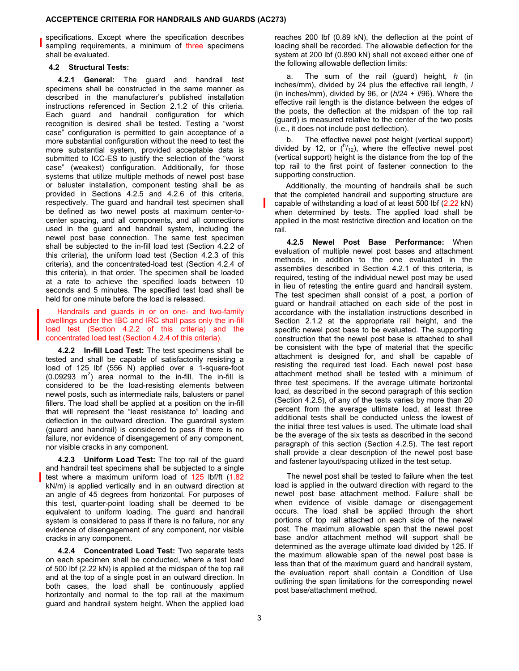#### **ACCEPTENCE CRITERIA FOR HANDRAILS AND GUARDS (AC273)**

specifications. Except where the specification describes sampling requirements, a minimum of three specimens shall be evaluated.

### **4.2 Structural Tests:**

**4.2.1 General:** The guard and handrail test specimens shall be constructed in the same manner as described in the manufacturer's published installation instructions referenced in Section 2.1.2 of this criteria. Each guard and handrail configuration for which recognition is desired shall be tested. Testing a "worst case" configuration is permitted to gain acceptance of a more substantial configuration without the need to test the more substantial system, provided acceptable data is submitted to ICC-ES to justify the selection of the "worst case" (weakest) configuration. Additionally, for those systems that utilize multiple methods of newel post base or baluster installation, component testing shall be as provided in Sections 4.2.5 and 4.2.6 of this criteria, respectively. The guard and handrail test specimen shall be defined as two newel posts at maximum center-tocenter spacing, and all components, and all connections used in the guard and handrail system, including the newel post base connection. The same test specimen shall be subjected to the in-fill load test (Section 4.2.2 of this criteria), the uniform load test (Section 4.2.3 of this criteria), and the concentrated-load test (Section 4.2.4 of this criteria), in that order. The specimen shall be loaded at a rate to achieve the specified loads between 10 seconds and 5 minutes. The specified test load shall be held for one minute before the load is released.

 Handrails and guards in or on one- and two-family dwellings under the IBC and IRC shall pass only the in-fill load test (Section 4.2.2 of this criteria) and the concentrated load test (Section 4.2.4 of this criteria).

**4.2.2 In-fill Load Test:** The test specimens shall be tested and shall be capable of satisfactorily resisting a load of 125 lbf (556 N) applied over a 1-square-foot  $(0.09293 \text{ m}^2)$  area normal to the in-fill. The in-fill is considered to be the load-resisting elements between newel posts, such as intermediate rails, balusters or panel fillers. The load shall be applied at a position on the in-fill that will represent the "least resistance to" loading and deflection in the outward direction. The guardrail system (guard and handrail) is considered to pass if there is no failure, nor evidence of disengagement of any component, nor visible cracks in any component.

**4.2.3 Uniform Load Test:** The top rail of the guard and handrail test specimens shall be subjected to a single test where a maximum uniform load of 125 lbf/ft (1.82 kN/m) is applied vertically and in an outward direction at an angle of 45 degrees from horizontal. For purposes of this test, quarter-point loading shall be deemed to be equivalent to uniform loading. The guard and handrail system is considered to pass if there is no failure, nor any evidence of disengagement of any component, nor visible cracks in any component.

**4.2.4 Concentrated Load Test:** Two separate tests on each specimen shall be conducted, where a test load of 500 lbf (2.22 kN) is applied at the midspan of the top rail and at the top of a single post in an outward direction. In both cases, the load shall be continuously applied horizontally and normal to the top rail at the maximum guard and handrail system height. When the applied load

reaches 200 lbf (0.89 kN), the deflection at the point of loading shall be recorded. The allowable deflection for the system at 200 lbf (0.890 kN) shall not exceed either one of the following allowable deflection limits:

a. The sum of the rail (guard) height, *h* (in inches/mm), divided by 24 plus the effective rail length, *l* (in inches/mm), divided by 96, or (*h*/24 + *l*/96). Where the effective rail length is the distance between the edges of the posts, the deflection at the midspan of the top rail (guard) is measured relative to the center of the two posts (i.e., it does not include post deflection).

b. The effective newel post height (vertical support) divided by 12, or  $\binom{h}{12}$ , where the effective newel post (vertical support) height is the distance from the top of the top rail to the first point of fastener connection to the supporting construction.

Additionally, the mounting of handrails shall be such that the completed handrail and supporting structure are capable of withstanding a load of at least 500 lbf (2.22 kN) when determined by tests. The applied load shall be applied in the most restrictive direction and location on the rail.

**4.2.5 Newel Post Base Performance:** When evaluation of multiple newel post bases and attachment methods, in addition to the one evaluated in the assemblies described in Section 4.2.1 of this criteria, is required, testing of the individual newel post may be used in lieu of retesting the entire guard and handrail system. The test specimen shall consist of a post, a portion of guard or handrail attached on each side of the post in accordance with the installation instructions described in Section 2.1.2 at the appropriate rail height, and the specific newel post base to be evaluated. The supporting construction that the newel post base is attached to shall be consistent with the type of material that the specific attachment is designed for, and shall be capable of resisting the required test load. Each newel post base attachment method shall be tested with a minimum of three test specimens. If the average ultimate horizontal load, as described in the second paragraph of this section (Section 4.2.5), of any of the tests varies by more than 20 percent from the average ultimate load, at least three additional tests shall be conducted unless the lowest of the initial three test values is used. The ultimate load shall be the average of the six tests as described in the second paragraph of this section (Section 4.2.5). The test report shall provide a clear description of the newel post base and fastener layout/spacing utilized in the test setup.

The newel post shall be tested to failure when the test load is applied in the outward direction with regard to the newel post base attachment method. Failure shall be when evidence of visible damage or disengagement occurs. The load shall be applied through the short portions of top rail attached on each side of the newel post. The maximum allowable span that the newel post base and/or attachment method will support shall be determined as the average ultimate load divided by 125. If the maximum allowable span of the newel post base is less than that of the maximum guard and handrail system, the evaluation report shall contain a Condition of Use outlining the span limitations for the corresponding newel post base/attachment method.